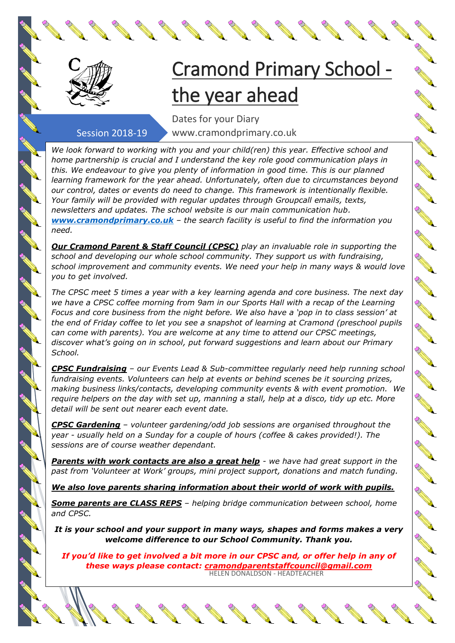

## Cramond Primary School the year ahead

## Session 2018-19

Dates for your Diary www.cramondprimary.co.uk

*We look forward to working with you and your child(ren) this year. Effective school and home partnership is crucial and I understand the key role good communication plays in this. We endeavour to give you plenty of information in good time. This is our planned learning framework for the year ahead. Unfortunately, often due to circumstances beyond our control, dates or events do need to change. This framework is intentionally flexible. Your family will be provided with regular updates through Groupcall emails, texts, newsletters and updates. The school website is our main communication hub. [www.cramondprimary.co.uk](http://www.cramondprimary.co.uk/) – the search facility is useful to find the information you need.*

*Our Cramond Parent & Staff Council (CPSC) play an invaluable role in supporting the school and developing our whole school community. They support us with fundraising, school improvement and community events. We need your help in many ways & would love you to get involved.* 

*The CPSC meet 5 times a year with a key learning agenda and core business. The next day we have a CPSC coffee morning from 9am in our Sports Hall with a recap of the Learning Focus and core business from the night before. We also have a 'pop in to class session' at the end of Friday coffee to let you see a snapshot of learning at Cramond (preschool pupils can come with parents). You are welcome at any time to attend our CPSC meetings, discover what's going on in school, put forward suggestions and learn about our Primary School.*

*CPSC Fundraising – our Events Lead & Sub-committee regularly need help running school fundraising events. Volunteers can help at events or behind scenes be it sourcing prizes, making business links/contacts, developing community events & with event promotion. We require helpers on the day with set up, manning a stall, help at a disco, tidy up etc. More detail will be sent out nearer each event date.*

*CPSC Gardening – volunteer gardening/odd job sessions are organised throughout the year - usually held on a Sunday for a couple of hours (coffee & cakes provided!). The sessions are of course weather dependant.* 

*Parents with work contacts are also a great help - we have had great support in the past from 'Volunteer at Work' groups, mini project support, donations and match funding.* 

*We also love parents sharing information about their world of work with pupils.* 

*Some parents are CLASS REPS – helping bridge communication between school, home and CPSC.* 

*It is your school and your support in many ways, shapes and forms makes a very welcome difference to our School Community. Thank you.*

*If you'd like to get involved a bit more in our CPSC and, or offer help in any of these ways please contact: cramondparentstaffcouncil@gmail.com* HELEN DONALDSON - HEADTEACHER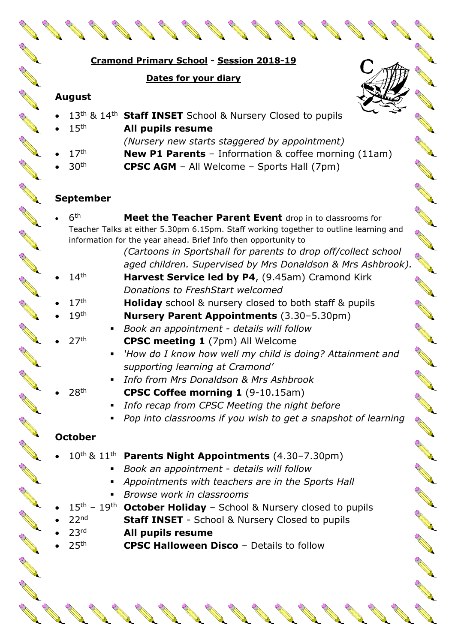|                                                          | Cramond Primary School - Session 2018-19                                                                                                                                                                                                                                                                                                                         |  |
|----------------------------------------------------------|------------------------------------------------------------------------------------------------------------------------------------------------------------------------------------------------------------------------------------------------------------------------------------------------------------------------------------------------------------------|--|
|                                                          | Dates for your diary                                                                                                                                                                                                                                                                                                                                             |  |
| <b>August</b>                                            |                                                                                                                                                                                                                                                                                                                                                                  |  |
| 15 <sup>th</sup><br>17 <sup>th</sup><br>30 <sup>th</sup> | 13 <sup>th</sup> & 14 <sup>th</sup> Staff INSET School & Nursery Closed to pupils<br>All pupils resume<br>(Nursery new starts staggered by appointment)<br><b>New P1 Parents</b> - Information & coffee morning (11am)<br><b>CPSC AGM</b> - All Welcome - Sports Hall (7pm)                                                                                      |  |
| <b>September</b>                                         |                                                                                                                                                                                                                                                                                                                                                                  |  |
| 6 <sup>th</sup>                                          | Meet the Teacher Parent Event drop in to classrooms for<br>Teacher Talks at either 5.30pm 6.15pm. Staff working together to outline learning and<br>information for the year ahead. Brief Info then opportunity to<br>(Cartoons in Sportshall for parents to drop off/collect school<br>aged children. Supervised by Mrs Donaldson & Mrs Ashbrook).              |  |
| 14 <sup>th</sup>                                         | Harvest Service led by P4, (9.45am) Cramond Kirk<br>Donations to FreshStart welcomed                                                                                                                                                                                                                                                                             |  |
| 17 <sup>th</sup><br>19 <sup>th</sup>                     | <b>Holiday</b> school & nursery closed to both staff & pupils<br><b>Nursery Parent Appointments (3.30-5.30pm)</b><br>Book an appointment - details will follow                                                                                                                                                                                                   |  |
| 27 <sup>th</sup>                                         | <b>CPSC meeting 1</b> (7pm) All Welcome<br>'How do I know how well my child is doing? Attainment and<br>supporting learning at Cramond'<br>Info from Mrs Donaldson & Mrs Ashbrook                                                                                                                                                                                |  |
| 28 <sup>th</sup><br>٠                                    | <b>CPSC Coffee morning 1</b> (9-10.15am)<br>Info recap from CPSC Meeting the night before<br>Pop into classrooms if you wish to get a snapshot of learning                                                                                                                                                                                                       |  |
| <b>October</b>                                           |                                                                                                                                                                                                                                                                                                                                                                  |  |
| 22 <sub>nd</sub>                                         | 10 <sup>th</sup> & 11 <sup>th</sup> Parents Night Appointments (4.30-7.30pm)<br>Book an appointment - details will follow<br>Appointments with teachers are in the Sports Hall<br>Browse work in classrooms<br>15 <sup>th</sup> - 19 <sup>th</sup> October Holiday - School & Nursery closed to pupils<br><b>Staff INSET</b> - School & Nursery Closed to pupils |  |
| 23 <sup>rd</sup><br>25 <sup>th</sup>                     | All pupils resume<br><b>CPSC Halloween Disco - Details to follow</b>                                                                                                                                                                                                                                                                                             |  |

Rock Contract Contract Contract Contract Contract Contract Contract Contract Contract Contract Contract Contract Contract Contract Contract Contract Contract Contract Contract Contract Contract Contract Contract Contract C

RA RE

**RANTICO** 

AN REA

Contract of the Contract of

**AND REPAIR** 

RANT COMMAND

RA CONTROLL

**All Contracts** 

RANT AND STRUCTURE

**Allen Comments** 

All March 1999

**All Contracts** 

**CONTRACTOR** 

AND TO BE

RA CONTROLL

RA A

A A

**AND REPAIR** 

Row Barnet

AND TO ANY

AND TO ANY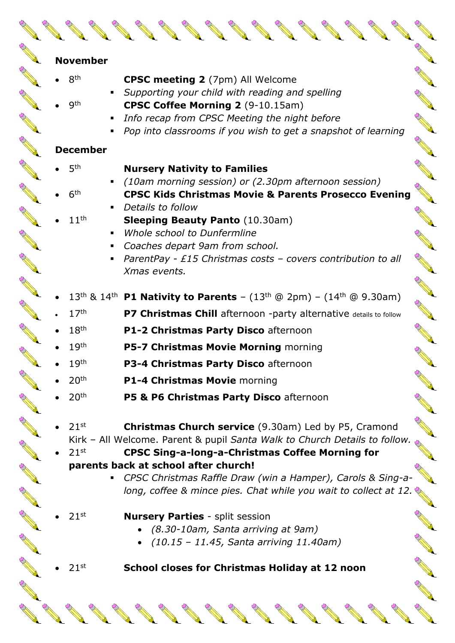|  | <b>November</b>  |                                                                                                                                           |  |
|--|------------------|-------------------------------------------------------------------------------------------------------------------------------------------|--|
|  | 8 <sup>th</sup>  | <b>CPSC meeting 2</b> (7pm) All Welcome                                                                                                   |  |
|  | gth              | • Supporting your child with reading and spelling<br>CPSC Coffee Morning 2 (9-10.15am)                                                    |  |
|  |                  | Info recap from CPSC Meeting the night before                                                                                             |  |
|  |                  | Pop into classrooms if you wish to get a snapshot of learning                                                                             |  |
|  | <b>December</b>  |                                                                                                                                           |  |
|  | 5 <sup>th</sup>  | <b>Nursery Nativity to Families</b>                                                                                                       |  |
|  |                  | (10am morning session) or (2.30pm afternoon session)                                                                                      |  |
|  | 6 <sup>th</sup>  | <b>CPSC Kids Christmas Movie &amp; Parents Prosecco Evening</b>                                                                           |  |
|  | 11 <sup>th</sup> | • Details to follow<br><b>Sleeping Beauty Panto (10.30am)</b>                                                                             |  |
|  |                  | Whole school to Dunfermline                                                                                                               |  |
|  |                  | • Coaches depart 9am from school.                                                                                                         |  |
|  |                  | • ParentPay - £15 Christmas costs – covers contribution to all                                                                            |  |
|  |                  | Xmas events.                                                                                                                              |  |
|  |                  | 13 <sup>th</sup> & 14 <sup>th</sup> <b>P1 Nativity to Parents</b> – $(13^{th} @ 2pm) - (14^{th} @ 9.30am)$                                |  |
|  | 17 <sup>th</sup> | P7 Christmas Chill afternoon -party alternative details to follow                                                                         |  |
|  | 18 <sup>th</sup> | P1-2 Christmas Party Disco afternoon                                                                                                      |  |
|  | 19 <sup>th</sup> | P5-7 Christmas Movie Morning morning                                                                                                      |  |
|  | 19 <sup>th</sup> | P3-4 Christmas Party Disco afternoon                                                                                                      |  |
|  | 20 <sup>th</sup> | P1-4 Christmas Movie morning                                                                                                              |  |
|  | 20 <sup>th</sup> | P5 & P6 Christmas Party Disco afternoon                                                                                                   |  |
|  |                  |                                                                                                                                           |  |
|  | 21 <sup>st</sup> | <b>Christmas Church service</b> (9.30am) Led by P5, Cramond<br>Kirk - All Welcome. Parent & pupil Santa Walk to Church Details to follow. |  |
|  | 21 <sup>st</sup> | <b>CPSC Sing-a-long-a-Christmas Coffee Morning for</b>                                                                                    |  |
|  |                  | parents back at school after church!                                                                                                      |  |
|  |                  | CPSC Christmas Raffle Draw (win a Hamper), Carols & Sing-a-                                                                               |  |
|  |                  | long, coffee & mince pies. Chat while you wait to collect at 12.                                                                          |  |
|  | $21^{st}$        | <b>Nursery Parties - split session</b>                                                                                                    |  |
|  |                  | • (8.30-10am, Santa arriving at 9am)                                                                                                      |  |
|  |                  | $(10.15 - 11.45, Santa arriving 11.40am)$                                                                                                 |  |
|  | $21^{st}$        | School closes for Christmas Holiday at 12 noon                                                                                            |  |
|  |                  |                                                                                                                                           |  |
|  |                  |                                                                                                                                           |  |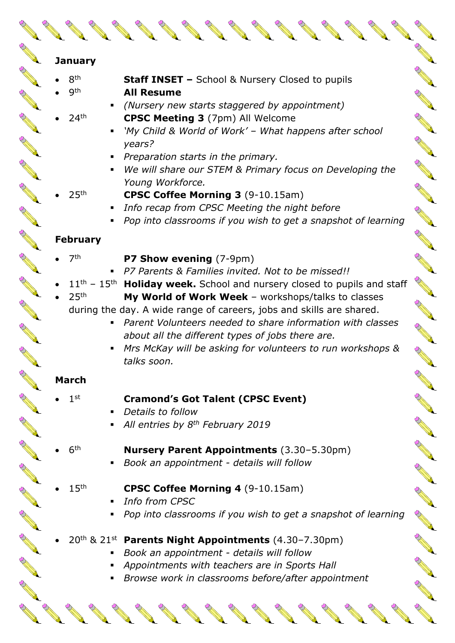| <b>January</b>   |                                                                                                 |  |
|------------------|-------------------------------------------------------------------------------------------------|--|
| 8 <sup>th</sup>  |                                                                                                 |  |
| <b>9th</b>       | <b>Staff INSET - School &amp; Nursery Closed to pupils</b><br><b>All Resume</b>                 |  |
|                  | (Nursery new starts staggered by appointment)                                                   |  |
| 24 <sup>th</sup> |                                                                                                 |  |
|                  | <b>CPSC Meeting 3</b> (7pm) All Welcome                                                         |  |
|                  | 'My Child & World of Work' - What happens after school                                          |  |
|                  | years?                                                                                          |  |
|                  | Preparation starts in the primary.                                                              |  |
|                  | We will share our STEM & Primary focus on Developing the                                        |  |
|                  | Young Workforce.                                                                                |  |
| 25 <sup>th</sup> | <b>CPSC Coffee Morning 3 (9-10.15am)</b>                                                        |  |
|                  | Info recap from CPSC Meeting the night before                                                   |  |
|                  | Pop into classrooms if you wish to get a snapshot of learning                                   |  |
| <b>February</b>  |                                                                                                 |  |
| 7 <sup>th</sup>  | P7 Show evening (7-9pm)                                                                         |  |
|                  | P7 Parents & Families invited. Not to be missed!!                                               |  |
|                  | 11 <sup>th</sup> - 15 <sup>th</sup> Holiday week. School and nursery closed to pupils and staff |  |
| 25 <sup>th</sup> | My World of Work Week - workshops/talks to classes                                              |  |
|                  | during the day. A wide range of careers, jobs and skills are shared.                            |  |
|                  | Parent Volunteers needed to share information with classes                                      |  |
|                  | about all the different types of jobs there are.                                                |  |
|                  | Mrs McKay will be asking for volunteers to run workshops &                                      |  |
|                  | talks soon.                                                                                     |  |
|                  |                                                                                                 |  |
| <b>March</b>     |                                                                                                 |  |
| 1 <sup>st</sup>  | <b>Cramond's Got Talent (CPSC Event)</b>                                                        |  |
|                  | Details to follow                                                                               |  |
|                  | All entries by 8 <sup>th</sup> February 2019                                                    |  |
|                  |                                                                                                 |  |
| 6 <sup>th</sup>  | <b>Nursery Parent Appointments (3.30-5.30pm)</b>                                                |  |
|                  | Book an appointment - details will follow                                                       |  |
|                  |                                                                                                 |  |
| 15 <sup>th</sup> | <b>CPSC Coffee Morning 4 (9-10.15am)</b>                                                        |  |
|                  | <b>Info from CPSC</b>                                                                           |  |
|                  | Pop into classrooms if you wish to get a snapshot of learning                                   |  |
|                  |                                                                                                 |  |
|                  | $20th$ & $21st$ Parents Night Appointments (4.30-7.30pm)                                        |  |
|                  | Book an appointment - details will follow                                                       |  |
|                  |                                                                                                 |  |

A Maria

A Maria

**Alland Company of Company Company Company Company Company Company Company Company Company Company Company Company Company Company Company Company Company Company Company Company Company Company Company Company Company Com** 

Rock Construction Construction

**Contract of the Contract of the Contract of The Contract of The Contract of The Contract of The Contract of The Contract of The Contract of The Contract of The Contract of The Contract of The Contract of The Contract of T** 

RESERVE

North Carpenter

**Contraction Report** 

RANT ROAD

AN A

Contractor

RA CONTRACTOR

RANT AND

REGAL COMMENT

- *Book an appointment - details will follow*
- *Appointments with teachers are in Sports Hall*

No. of Canada and Canada and

▪ *Browse work in classrooms before/after appointment*

**Contract Contract Contract Contract Contract Contract Contract Contract Contract Contract Contract Contract Contract Contract Contract Contract Contract Contract Contract Contract Contract Contract Contract Contract Contr** 

**Contract Contract Contract Contract Contract Contract Contract Contract Contract Contract Contract Contract Contract Contract Contract Contract Contract Contract Contract Contract Contract Contract Contract Contract Contr** 

**Contract Contract Contract Contract Contract Contract Contract Contract Contract Contract Contract Contract Contract Contract Contract Contract Contract Contract Contract Contract Contract Contract Contract Contract Contr** 

**Contract Contract Contract Contract Contract Contract Contract Contract Contract Contract Contract Contract Contract Contract Contract Contract Contract Contract Contract Contract Contract Contract Contract Contract Contr**